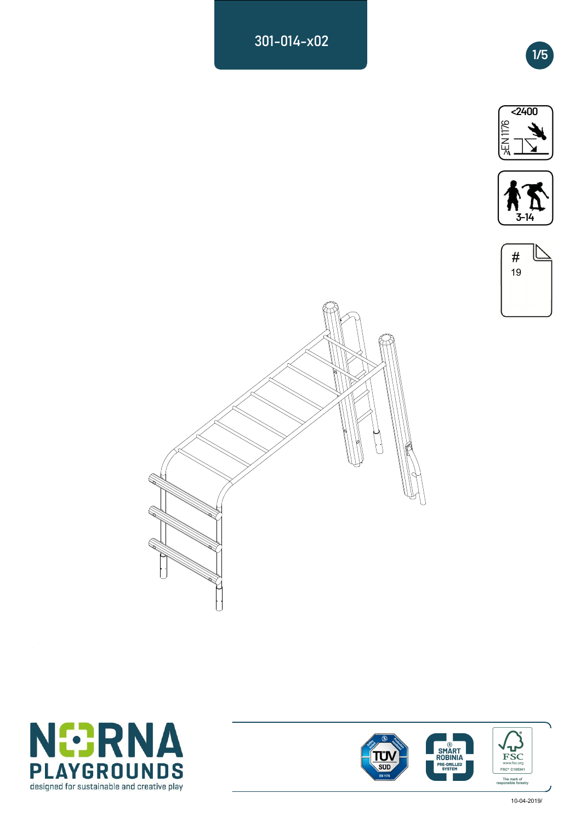301-014-x02











 $\ddot{\phantom{a}}$ 



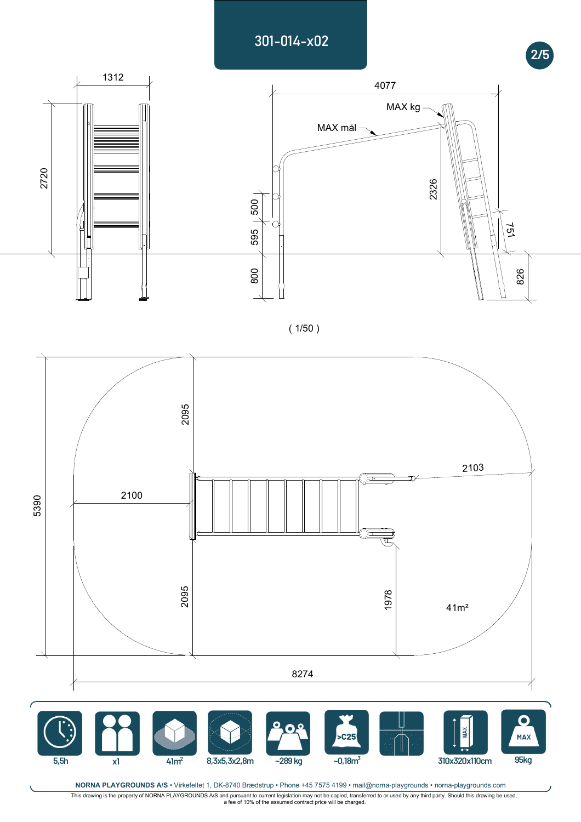## 301-014-x02



( 1/50 )



NORNA PLAYGROUNDS A/S · Virkefeltet 1, DK-8740 Brædstrup · Phone +45 7575 4199 · mail@norna-playgrounds · norna-playgrounds.com

,This drawing is the property of NORNA PLAYGROUNDS A/S and pursuant to current legislation may not be copied, transferred to or used by any third party. Should this drawing be used,<br>a fee of 10% of the assumed contract pri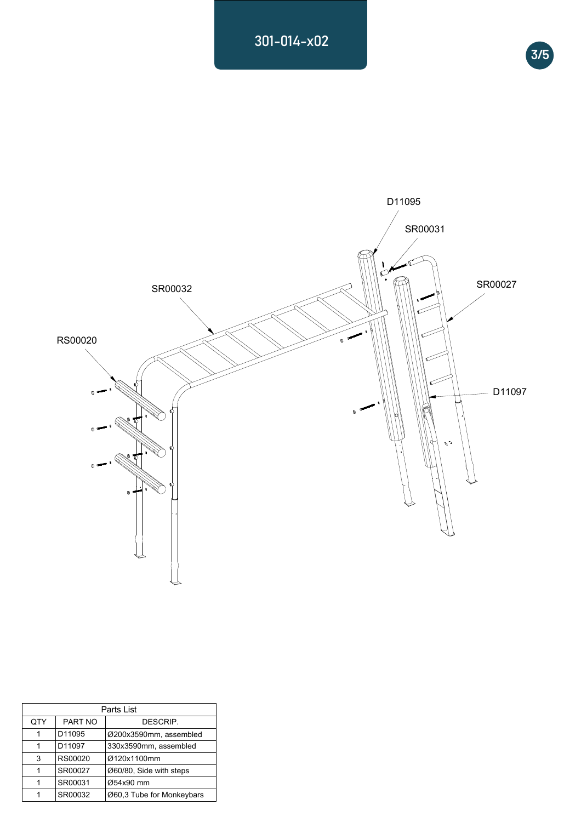## 301-014-x02





| Parts List |         |                           |  |
|------------|---------|---------------------------|--|
| QTY        | PART NO | DESCRIP.                  |  |
| 1          | D11095  | Ø200x3590mm, assembled    |  |
| 1          | D11097  | 330x3590mm, assembled     |  |
| 3          | RS00020 | Ø120x1100mm               |  |
| 1          | SR00027 | Ø60/80, Side with steps   |  |
| 1          | SR00031 | Ø54x90 mm                 |  |
|            | SR00032 | Ø60,3 Tube for Monkeybars |  |
|            |         |                           |  |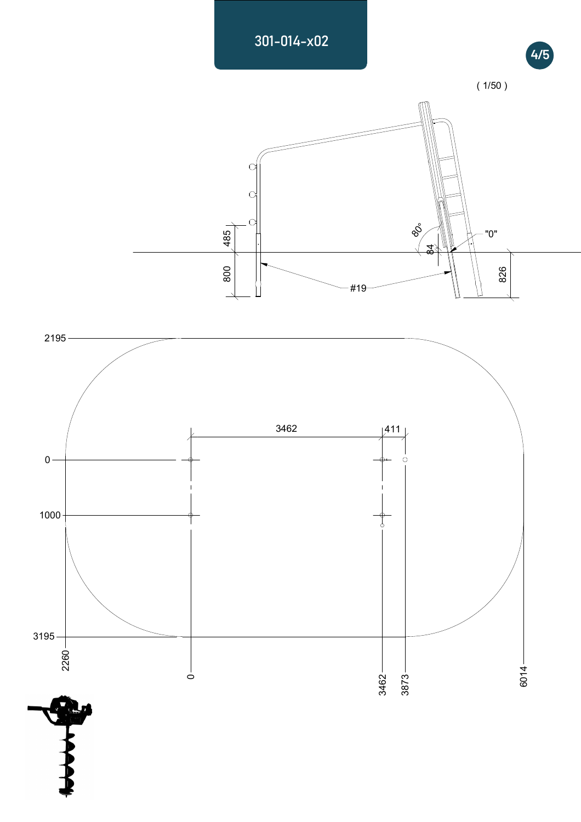